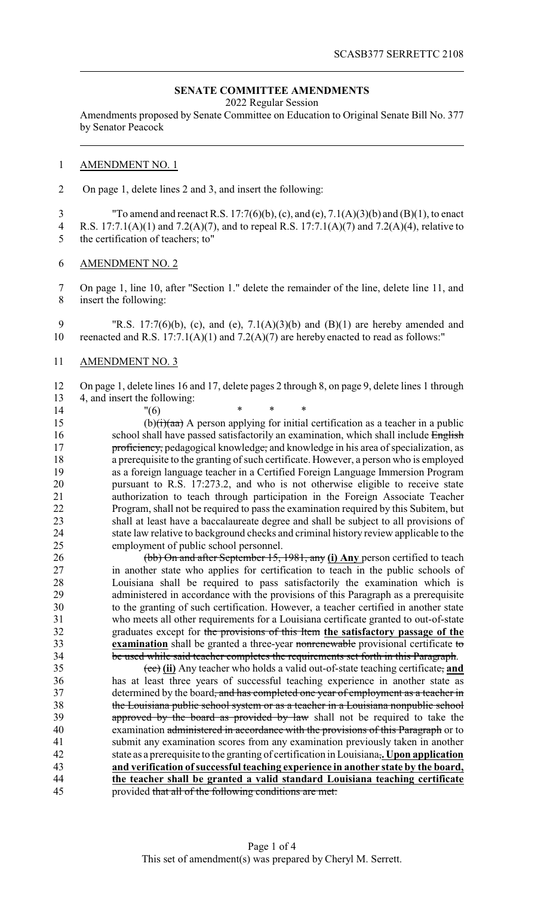## **SENATE COMMITTEE AMENDMENTS**

2022 Regular Session

Amendments proposed by Senate Committee on Education to Original Senate Bill No. 377 by Senator Peacock

## AMENDMENT NO. 1

2 On page 1, delete lines 2 and 3, and insert the following:

 "To amend and reenact R.S. 17:7(6)(b), (c), and (e), 7.1(A)(3)(b) and (B)(1), to enact R.S. 17:7.1(A)(1) and 7.2(A)(7), and to repeal R.S. 17:7.1(A)(7) and 7.2(A)(4), relative to the certification of teachers; to"

AMENDMENT NO. 2

 On page 1, line 10, after "Section 1." delete the remainder of the line, delete line 11, and insert the following:

 "R.S. 17:7(6)(b), (c), and (e), 7.1(A)(3)(b) and (B)(1) are hereby amended and 10 reenacted and R.S.  $17:7.1(A)(1)$  and  $7.2(A)(7)$  are hereby enacted to read as follows:"

AMENDMENT NO. 3

 On page 1, delete lines 16 and 17, delete pages 2 through 8, on page 9, delete lines 1 through 4, and insert the following:

14 "(6) \* \* \* 15 (b) $\left(\frac{1}{1}\right)$  (aa) A person applying for initial certification as a teacher in a public 16 school shall have passed satisfactorily an examination, which shall include English **proficiency**, pedagogical knowledge, and knowledge in his area of specialization, as a prerequisite to the granting of such certificate. However, a person who is employed as a foreign language teacher in a Certified Foreign Language Immersion Program pursuant to R.S. 17:273.2, and who is not otherwise eligible to receive state authorization to teach through participation in the Foreign Associate Teacher Program, shall not be required to pass the examination required by this Subitem, but shall at least have a baccalaureate degree and shall be subject to all provisions of 24 state law relative to background checks and criminal history review applicable to the<br>25 employment of public school personnel. employment of public school personnel.

 (bb) On and after September 15, 1981, any **(i) Any** person certified to teach in another state who applies for certification to teach in the public schools of Louisiana shall be required to pass satisfactorily the examination which is administered in accordance with the provisions of this Paragraph as a prerequisite to the granting of such certification. However, a teacher certified in another state who meets all other requirements for a Louisiana certificate granted to out-of-state graduates except for the provisions of this Item **the satisfactory passage of the examination** shall be granted a three-year nonrenewable provisional certificate to be used while said teacher completes the requirements set forth in this Paragraph.

 (cc) **(ii)** Any teacher who holds a valid out-of-state teaching certificate, **and** has at least three years of successful teaching experience in another state as 37 determined by the board<del>, and has completed one year of employment as a teacher in</del> the Louisiana public school system or as a teacher in a Louisiana nonpublic school 39 approved by the board as provided by law shall not be required to take the examination administered in accordance with the provisions of this Paragraph or to submit any examination scores from any examination previously taken in another state as a prerequisite to the granting of certification in Louisiana,**. Upon application and verification ofsuccessful teaching experience in another state by the board, the teacher shall be granted a valid standard Louisiana teaching certificate** provided that all of the following conditions are met: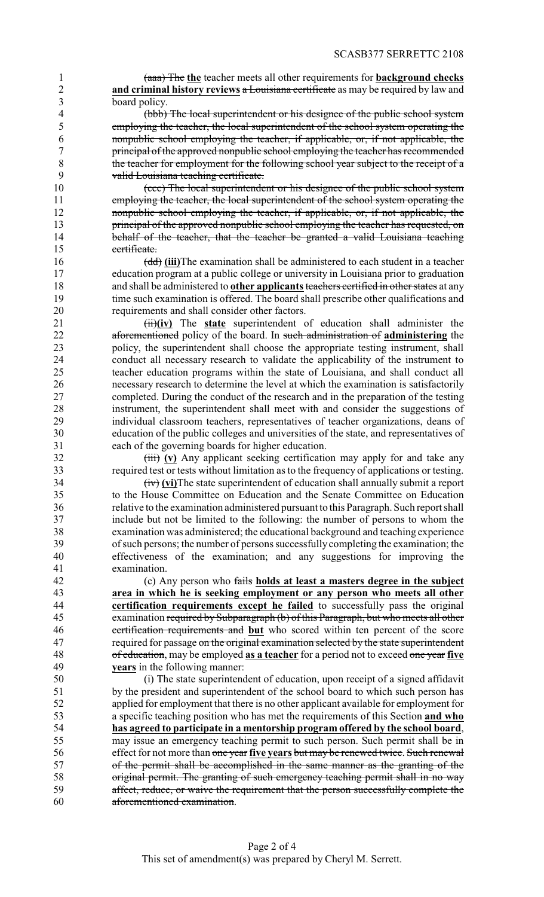(aaa) The **the** teacher meets all other requirements for **background checks and criminal history reviews** a Louisiana certificate as may be required by law and board policy.

 (bbb) The local superintendent or his designee of the public school system employing the teacher, the local superintendent of the school system operating the nonpublic school employing the teacher, if applicable, or, if not applicable, the principal of the approved nonpublic school employing the teacher has recommended 8 the teacher for employment for the following school year subject to the receipt of a<br>9 valid Louisiana teaching certificate valid Louisiana teaching certificate.

 (ccc) The local superintendent or his designee of the public school system employing the teacher, the local superintendent of the school system operating the **nonpublic school employing the teacher, if applicable, or, if not applicable, the** 13 principal of the approved nonpublic school employing the teacher has requested, on 14 behalf of the teacher, that the teacher be granted a valid Louisiana teaching certificate.

 (dd) **(iii)**The examination shall be administered to each student in a teacher education program at a public college or university in Louisiana prior to graduation and shall be administered to **other applicants**teachers certified in other states at any 19 time such examination is offered. The board shall prescribe other qualifications and requirements and shall consider other factors.

21 (ii)(iv) The state superintendent of education shall administer the aforementioned policy of the board. In such administration of **administering** the policy, the superintendent shall choose the appropriate testing instrument, shall 24 conduct all necessary research to validate the applicability of the instrument to teacher education programs within the state of Louisiana, and shall conduct all teacher education programs within the state of Louisiana, and shall conduct all necessary research to determine the level at which the examination is satisfactorily completed. During the conduct of the research and in the preparation of the testing instrument, the superintendent shall meet with and consider the suggestions of individual classroom teachers, representatives of teacher organizations, deans of education of the public colleges and universities of the state, and representatives of each of the governing boards for higher education.

32 (iii) **(v)** Any applicant seeking certification may apply for and take any required test or tests without limitation as to the frequency of applications or testing.

 (iv) **(vi)**The state superintendent of education shall annually submit a report 35 to the House Committee on Education and the Senate Committee on Education<br>36 to the examination administered pursuant to this Paragraph. Such report shall relative to the examination administered pursuant to this Paragraph. Such report shall include but not be limited to the following: the number of persons to whom the examination was administered; the educational background and teaching experience of such persons; the number of persons successfullycompleting the examination; the effectiveness of the examination; and any suggestions for improving the examination.

 (c) Any person who fails **holds at least a masters degree in the subject area in which he is seeking employment or any person who meets all other certification requirements except he failed** to successfully pass the original examination required by Subparagraph (b) of this Paragraph. but who meets all other examination required by Subparagraph (b) of this Paragraph, but who meets all other certification requirements and **but** who scored within ten percent of the score 47 required for passage on the original examination selected by the state superintendent of education, may be employed **as a teacher** for a period not to exceed one year **five years** in the following manner:

 (i) The state superintendent of education, upon receipt of a signed affidavit by the president and superintendent of the school board to which such person has applied for employment that there is no other applicant available for employment for a specific teaching position who has met the requirements of this Section **and who has agreed to participate in a mentorship program offered by the school board**, may issue an emergency teaching permit to such person. Such permit shall be in effect for not more than one year **five years** but may be renewed twice. Such renewal of the permit shall be accomplished in the same manner as the granting of the original permit. The granting of such emergency teaching permit shall in no way affect, reduce, or waive the requirement that the person successfully complete the aforementioned examination.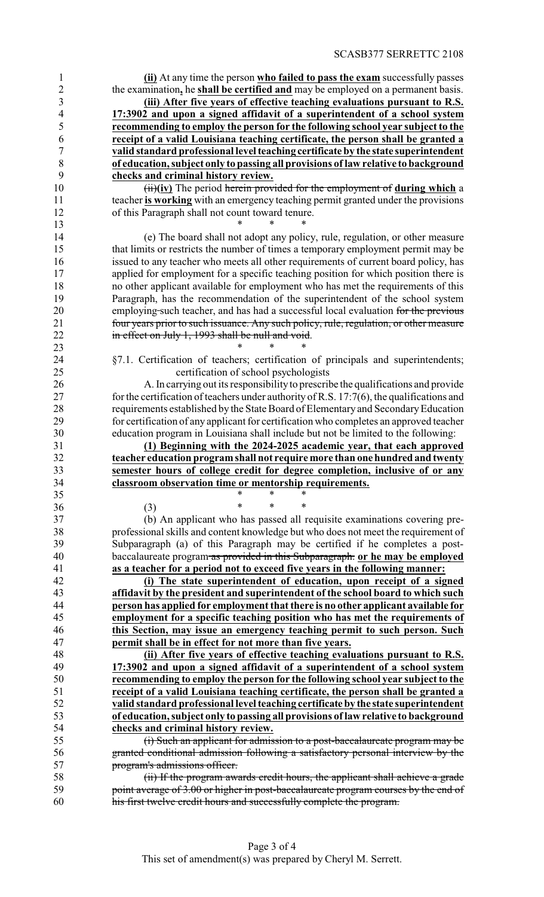**(ii)** At any time the person **who failed to pass the exam** successfully passes the examination**,** he **shall be certified and** may be employed on a permanent basis. **(iii) After five years of effective teaching evaluations pursuant to R.S. 17:3902 and upon a signed affidavit of a superintendent of a school system**

 **recommending to employ the person for the following school year subject to the receipt of a valid Louisiana teaching certificate, the person shall be granted a valid standard professional level teaching certificate by the state superintendent of education, subject only to passing all provisions of law relative to background checks and criminal history review.**

 (ii)**(iv)** The period herein provided for the employment of **during which** a 11 teacher **is working** with an emergency teaching permit granted under the provisions of this Paragraph shall not count toward tenure.

 (e) The board shall not adopt any policy, rule, regulation, or other measure that limits or restricts the number of times a temporary employment permit may be issued to any teacher who meets all other requirements of current board policy, has 17 applied for employment for a specific teaching position for which position there is no other applicant available for employment who has met the requirements of this Paragraph, has the recommendation of the superintendent of the school system 20 employing such teacher, and has had a successful local evaluation for the previous four years prior to such issuance. Any such policy, rule, regulation, or other measure 22 in effect on July 1, 1993 shall be null and void.

24 §7.1. Certification of teachers; certification of principals and superintendents;<br>25 certification of school psychologists certification of school psychologists

 A. In carrying out its responsibilityto prescribe the qualifications and provide 27 for the certification of teachers under authority of R.S. 17:7(6), the qualifications and requirements established by the State Board of Elementary and SecondaryEducation for certification of any applicant for certification who completes an approved teacher education program in Louisiana shall include but not be limited to the following:

 **(1) Beginning with the 2024-2025 academic year, that each approved teacher education programshall not require more than onehundredandtwenty semester hours of college credit for degree completion, inclusive of or any classroom observation time or mentorship requirements.**<br>35

35 \* \* \* \* (3) \* \* \*

\* \* \*

**\*** \* \* \*

 (b) An applicant who has passed all requisite examinations covering pre- professional skills and content knowledge but who does not meet the requirement of Subparagraph (a) of this Paragraph may be certified if he completes a post- baccalaureate program as provided in this Subparagraph. **or he may be employed as a teacher for a period not to exceed five years in the following manner:**

 **(i) The state superintendent of education, upon receipt of a signed affidavit by the president and superintendent of the school board to which such person has applied for employment that there is no other applicant available for employment for a specific teaching position who has met the requirements of this Section, may issue an emergency teaching permit to such person. Such permit shall be in effect for not more than five years.**

 **(ii) After five years of effective teaching evaluations pursuant to R.S. 17:3902 and upon a signed affidavit of a superintendent of a school system recommending to employ the person for the following school year subject to the receipt of a valid Louisiana teaching certificate, the person shall be granted a valid standard professional level teaching certificateby the state superintendent of education, subject only to passing all provisions oflaw relative to background checks and criminal history review.**

 (i) Such an applicant for admission to a post-baccalaureate program may be granted conditional admission following a satisfactory personal interview by the program's admissions officer.

 (ii) If the program awards credit hours, the applicant shall achieve a grade 59 point average of 3.00 or higher in post-baccalaureate program courses by the end of his first twelve credit hours and successfully complete the program.